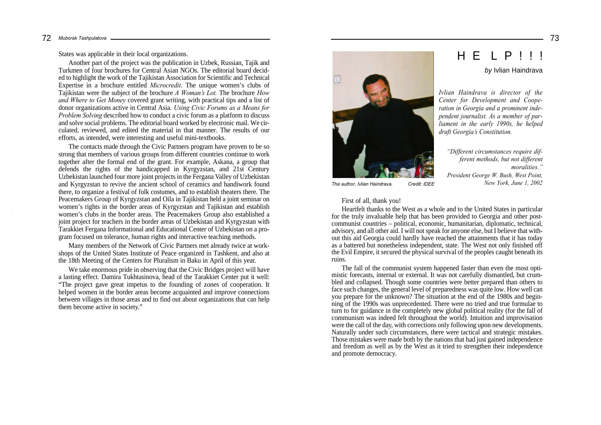States was applicable in their local organizations.

Another part of the project was the publication in Uzbek, Russian, Tajik and Turkmen of four brochures for Central Asian NGOs. The editorial board decided to highlight the work of the Tajikistan Association for Scientific and Technical Expertise in a brochure entitled *Microcredit*. The unique women's clubs of Tajikistan were the subject of the brochure *A Woman's Lot.* The brochure *How and Where to Get Money* covered grant writing, with practical tips and a list of donor organizations active in Central Asia. *Using Civic Forums as a Means for Problem Solving* described how to conduct a civic forum as a platform to discuss and solve social problems. The editorial board worked by electronic mail. We circulated, reviewed, and edited the material in that manner. The results of our efforts, as intended, were interesting and useful mini-textbooks.

The contacts made through the Civic Partners program have proven to be so strong that members of various groups from different countries continue to work together after the formal end of the grant. For example, Askana, a group that defends the rights of the handicapped in Kyrgyzstan, and 21st Century Uzbekistan launched four more joint projects in the Fergana Valley of Uzbekistan and Kyrgyzstan to revive the ancient school of ceramics and handiwork found there, to organize a festival of folk costumes, and to establish theaters there. The Peacemakers Group of Kyrgyzstan and Oila in Tajikistan held a joint seminar on women's rights in the border areas of Kyrgyzstan and Tajikistan and establish women's clubs in the border areas. The Peacemakers Group also established a joint project for teachers in the border areas of Uzbekistan and Kyrgyzstan with Tarakkiet Fergana Informational and Educational Center of Uzbekistan on a program focused on tolerance, human rights and interactive teaching methods.

Many members of the Network of Civic Partners met already twice at workshops of the United States Institute of Peace organized in Tashkent, and also at the 18th Meeting of the Centers for Pluralism in Baku in April of this year.

We take enormous pride in observing that the Civic Bridges project will have a lasting effect. Damira Tukhtasinova, head of the Tarakkiet Center put it well: "The project gave great impetus to the founding of zones of cooperation. It helped women in the border areas become acquainted and improve connections between villages in those areas and to find out about organizations that can help them become active in society."



*The author, Ivlian Haindrava. Credit: IDEE*

First of all, thank you!

Heartfelt thanks to the West as a whole and to the United States in particular for the truly invaluable help that has been provided to Georgia and other postcommunist countries – political, economic, humanitarian, diplomatic, technical, advisory, and all other aid. I will not speak for anyone else, but I believe that without this aid Georgia could hardly have reached the attainments that it has today as a battered but nonetheless independent, state. The West not only finished off the Evil Empire, it secured the physical survival of the peoples caught beneath its ruins.

*"Different circumstances require different methods, but not different*

H E L P

*President George W. Bush, West Point,*

*moralities."*

*New York, June 1, 2002*

*by* Ivlian Haindrava

The fall of the communist system happened faster than even the most optimistic forecasts, internal or external. It was not carefully dismantled, but crumbled and collapsed. Though some countries were better prepared than others to face such changes, the general level of preparedness was quite low. How well can you prepare for the unknown? The situation at the end of the 1980s and beginning of the 1990s was unprecedented. There were no tried and true formulae to turn to for guidance in the completely new global political reality (for the fall of communism was indeed felt throughout the world). Intuition and improvisation were the call of the day, with corrections only following upon new developments. Naturally under such circumstances, there were tactical and strategic mistakes. Those mistakes were made both by the nations that had just gained independence and freedom as well as by the West as it tried to strengthen their independence and promote democracy.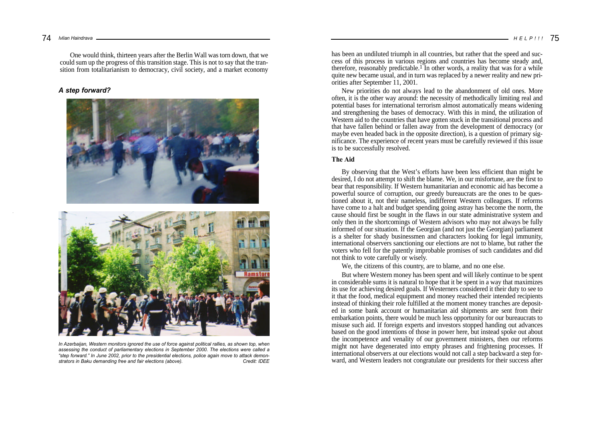One would think, thirteen years after the Berlin Wall was torn down, that we could sum up the progress of this transition stage. This is not to say that the transition from totalitarianism to democracy, civil society, and a market economy

### *A step forward?*





*In Azerbaijan, Western monitors ignored the use of force against political rallies, as shown top, when assessing the conduct of parliamentary elections in September 2000. The elections were called a "step forward." In June 2002, prior to the presidential elections, police again move to attack demonstrators in Baku demanding free and fair elections (above).* 

has been an undiluted triumph in all countries, but rather that the speed and success of this process in various regions and countries has become steady and, therefore, reasonably predictable.<sup>1</sup> In other words, a reality that was for a while quite new became usual, and in turn was replaced by a newer reality and new priorities after September 11, 2001.

New priorities do not always lead to the abandonment of old ones. More often, it is the other way around: the necessity of methodically limiting real and potential bases for international terrorism almost automatically means widening and strengthening the bases of democracy. With this in mind, the utilization of Western aid to the countries that have gotten stuck in the transitional process and that have fallen behind or fallen away from the development of democracy (or maybe even headed back in the opposite direction), is a question of primary significance. The experience of recent years must be carefully reviewed if this issue is to be successfully resolved.

### **The Aid**

By observing that the West's efforts have been less efficient than might be desired, I do not attempt to shift the blame. We, in our misfortune, are the first to bear that responsibility. If Western humanitarian and economic aid has become a powerful source of corruption, our greedy bureaucrats are the ones to be questioned about it, not their nameless, indifferent Western colleagues. If reforms have come to a halt and budget spending going astray has become the norm, the cause should first be sought in the flaws in our state administrative system and only then in the shortcomings of Western advisors who may not always be fully informed of our situation. If the Georgian (and not just the Georgian) parliament is a shelter for shady businessmen and characters looking for legal immunity, international observers sanctioning our elections are not to blame, but rather the voters who fell for the patently improbable promises of such candidates and did not think to vote carefully or wisely.

We, the citizens of this country, are to blame, and no one else.

But where Western money has been spent and will likely continue to be spent in considerable sums it is natural to hope that it be spent in a way that maximizes its use for achieving desired goals. If Westerners considered it their duty to see to it that the food, medical equipment and money reached their intended recipients instead of thinking their role fulfilled at the moment money tranches are deposited in some bank account or humanitarian aid shipments are sent from their embarkation points, there would be much less opportunity for our bureaucrats to misuse such aid. If foreign experts and investors stopped handing out advances based on the good intentions of those in power here, but instead spoke out about the incompetence and venality of our government ministers, then our reforms might not have degenerated into empty phrases and frightening processes. If international observers at our elections would not call a step backward a step forward, and Western leaders not congratulate our presidents for their success after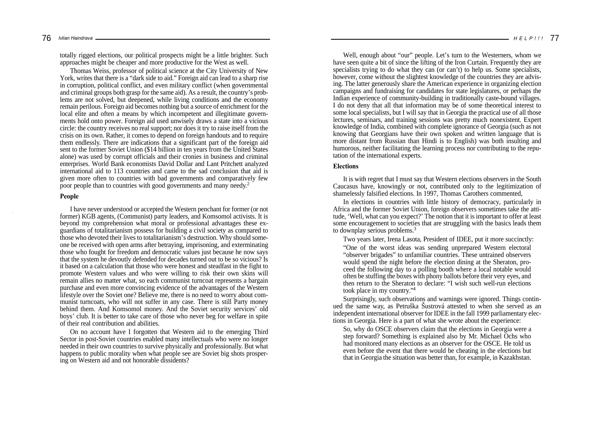totally rigged elections, our political prospects might be a little brighter. Such approaches might be cheaper and more productive for the West as well.

Thomas Weiss, professor of political science at the City University of New York, writes that there is a "dark side to aid." Foreign aid can lead to a sharp rise in corruption, political conflict, and even military conflict (when governmental and criminal groups both grasp for the same aid). As a result, the country's problems are not solved, but deepened, while living conditions and the economy remain perilous. Foreign aid becomes nothing but a source of enrichment for the local elite and often a means by which incompetent and illegitimate governments hold onto power. Foreign aid used unwisely draws a state into a vicious circle: the country receives no real support; nor does it try to raise itself from the crisis on its own. Rather, it comes to depend on foreign handouts and to require them endlessly. There are indications that a significant part of the foreign aid sent to the former Soviet Union (\$14 billion in ten years from the United States alone) was used by corrupt officials and their cronies in business and criminal enterprises. World Bank economists David Dollar and Lant Pritchett analyzed international aid to 113 countries and came to the sad conclusion that aid is given more often to countries with bad governments and comparatively few poor people than to countries with good governments and many needy.<sup>2</sup>

#### **People**

I have never understood or accepted the Western penchant for former (or not former) KGB agents, (Communist) party leaders, and Komsomol activists. It is beyond my comprehension what moral or professional advantages these exguardians of totalitarianism possess for building a civil society as compared to those who devoted their lives to totalitarianism's destruction. Why should someone be received with open arms after betraying, imprisoning, and exterminating those who fought for freedom and democratic values just because he now says that the system he devoutly defended for decades turned out to be so vicious? Is it based on a calculation that those who were honest and steadfast in the fight to promote Western values and who were willing to risk their own skins will remain allies no matter what, so each communist turncoat represents a bargain purchase and even more convincing evidence of the advantages of the Western lifestyle over the Soviet one? Believe me, there is no need to worry about communist turncoats, who will not suffer in any case. There is still Party money behind them. And Komsomol money. And the Soviet security services' old boys' club. It is better to take care of those who never beg for welfare in spite of their real contribution and abilities.

On no account have I forgotten that Western aid to the emerging Third Sector in post-Soviet countries enabled many intellectuals who were no longer needed in their own countries to survive physically and professionally. But what happens to public morality when what people see are Soviet big shots prospering on Western aid and not honorable dissidents?

Well, enough about "our" people. Let's turn to the Westerners, whom we have seen quite a bit of since the lifting of the Iron Curtain. Frequently they are specialists trying to do what they can (or can't) to help us. Some specialists, however, come without the slightest knowledge of the countries they are advising. The latter generously share the American experience in organizing election campaigns and fundraising for candidates for state legislatures, or perhaps the Indian experience of community-building in traditionally caste-bound villages. I do not deny that all that information may be of some theoretical interest to some local specialists, but I will say that in Georgia the practical use of all those lectures, seminars, and training sessions was pretty much nonexistent. Expert knowledge of India, combined with complete ignorance of Georgia (such as not knowing that Georgians have their own spoken and written language that is more distant from Russian than Hindi is to English) was both insulting and humorous, neither facilitating the learning process nor contributing to the reputation of the international experts.

### **Elections**

It is with regret that I must say that Western elections observers in the South Caucasus have, knowingly or not, contributed only to the legitimization of shamelessly falsified elections. In 1997, Thomas Carothers commented,

In elections in countries with little history of democracy, particularly in Africa and the former Soviet Union, foreign observers sometimes take the attitude, 'Well, what can you expect?' The notion that it is important to offer at least some encouragement to societies that are struggling with the basics leads them to downplay serious problems.<sup>3</sup>

Two years later, Irena Lasota, President of IDEE, put it more succinctly: "One of the worst ideas was sending unprepared Western electoral "observer brigades" to unfamiliar countries. These untrained observers would spend the night before the election dining at the Sheraton, proceed the following day to a polling booth where a local notable would often be stuffing the boxes with phony ballots before their very eyes, and then return to the Sheraton to declare: "I wish such well-run elections took place in my country."<sup>4</sup>

Surprisingly, such observations and warnings were ignored. Things continued the same way, as Petruška Šustrová attested to when she served as an independent international observer for IDEE in the fall 1999 parliamentary elections in Georgia. Here is a part of what she wrote about the experience:

So, why do OSCE observers claim that the elections in Georgia were a step forward? Something is explained also by Mr. Michael Ochs who had monitored many elections as an observer for the OSCE. He told us even before the event that there would be cheating in the elections but that in Georgia the situation was better than, for example, in Kazakhstan.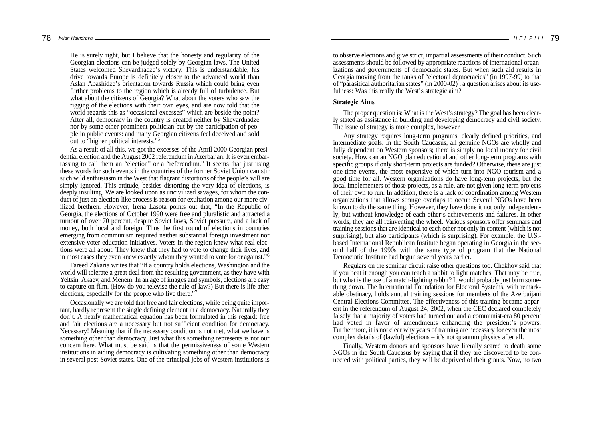He is surely right, but I believe that the honesty and regularity of the Georgian elections can be judged solely by Georgian laws. The United States welcomed Shevardnadze's victory. This is understandable; his drive towards Europe is definitely closer to the advanced world than Aslan Abashidze's orientation towards Russia which could bring even further problems to the region which is already full of turbulence. But what about the citizens of Georgia? What about the voters who saw the rigging of the elections with their own eyes, and are now told that the world regards this as "occasional excesses" which are beside the point? After all, democracy in the country is created neither by Shevardnadze nor by some other prominent politician but by the participation of people in public events: and many Georgian citizens feel deceived and sold out to "higher political interests."<sup>5</sup>

As a result of all this, we got the excesses of the April 2000 Georgian presidential election and the August 2002 referendum in Azerbaijan. It is even embarrassing to call them an "election" or a "referendum." It seems that just using these words for such events in the countries of the former Soviet Union can stir such wild enthusiasm in the West that flagrant distortions of the people's will are simply ignored. This attitude, besides distorting the very idea of elections, is deeply insulting. We are looked upon as uncivilized savages, for whom the conduct of just an election-like process is reason for exultation among our more civilized brethren. However, Irena Lasota points out that, "In the Republic of Georgia, the elections of October 1990 were free and pluralistic and attracted a turnout of over 70 percent, despite Soviet laws, Soviet pressure, and a lack of money, both local and foreign. Thus the first round of elections in countries emerging from communism required neither substantial foreign investment nor extensive voter-education initiatives. Voters in the region knew what real elections were all about. They knew that they had to vote to change their lives, and in most cases they even knew exactly whom they wanted to vote for or against."<sup>6</sup>

Fareed Zakaria writes that "If a country holds elections, Washington and the world will tolerate a great deal from the resulting government, as they have with Yeltsin, Akaev, and Menem. In an age of images and symbols, elections are easy to capture on film. (How do you televise the rule of law?) But there is life after elections, especially for the people who live there."<sup>7</sup>

Occasionally we are told that free and fair elections, while being quite important, hardly represent the single defining element in a democracy. Naturally they don't. A nearly mathematical equation has been formulated in this regard: free and fair elections are a necessary but not sufficient condition for democracy. Necessary! Meaning that if the necessary condition is not met, what we have is something other than democracy. Just what this something represents is not our concern here. What must be said is that the permissiveness of some Western institutions in aiding democracy is cultivating something other than democracy in several post-Soviet states. One of the principal jobs of Western institutions is

to observe elections and give strict, impartial assessments of their conduct. Such assessments should be followed by appropriate reactions of international organizations and governments of democratic states. But when such aid results in Georgia moving from the ranks of "electoral democracies" (in 1997-99) to that of "parasitical authoritarian states" (in  $2000-02$ ), a question arises about its usefulness: Was this really the West's strategic aim?

### **Strategic Aims**

The proper question is: What is the West's strategy? The goal has been clearly stated as assistance in building and developing democracy and civil society. The issue of strategy is more complex, however.

Any strategy requires long-term programs, clearly defined priorities, and intermediate goals. In the South Caucasus, all genuine NGOs are wholly and fully dependent on Western sponsors; there is simply no local money for civil society. How can an NGO plan educational and other long-term programs with specific groups if only short-term projects are funded? Otherwise, these are just one-time events, the most expensive of which turn into NGO tourism and a good time for all. Western organizations do have long-term projects, but the local implementers of those projects, as a rule, are not given long-term projects of their own to run. In addition, there is a lack of coordination among Western organizations that allows strange overlaps to occur. Several NGOs have been known to do the same thing. However, they have done it not only independently, but without knowledge of each other's achievements and failures. In other words, they are all reinventing the wheel. Various sponsors offer seminars and training sessions that are identical to each other not only in content (which is not surprising), but also participants (which is surprising). For example, the U.S. based International Republican Institute began operating in Georgia in the second half of the 1990s with the same type of program that the National Democratic Institute had begun several years earlier.

Regulars on the seminar circuit raise other questions too. Chekhov said that if you beat it enough you can teach a rabbit to light matches. That may be true, but what is the use of a match-lighting rabbit? It would probably just burn something down. The International Foundation for Electoral Systems, with remarkable obstinacy, holds annual training sessions for members of the Azerbaijani Central Elections Committee. The effectiveness of this training became apparent in the referendum of August 24, 2002, when the CEC declared completely falsely that a majority of voters had turned out and a communist-era 80 percent had voted in favor of amendments enhancing the president's powers. Furthermore, it is not clear why years of training are necessary for even the most complex details of (lawful) elections – it's not quantum physics after all.

Finally, Western donors and sponsors have literally scared to death some NGOs in the South Caucasus by saying that if they are discovered to be connected with political parties, they will be deprived of their grants. Now, no two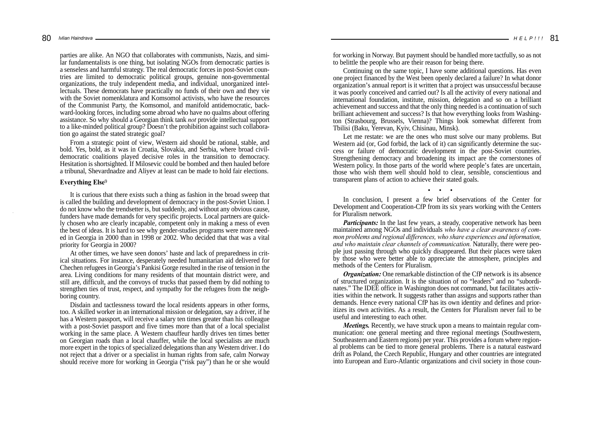parties are alike. An NGO that collaborates with communists, Nazis, and similar fundamentalists is one thing, but isolating NGOs from democratic parties is a senseless and harmful strategy. The real democratic forces in post-Soviet countries are limited to democratic political groups, genuine non-governmental organizations, the truly independent media, and individual, unorganized intellectuals. These democrats have practically no funds of their own and they vie with the Soviet nomenklatura and Komsomol activists, who have the resources of the Communist Party, the Komsomol, and manifold antidemocratic, backward-looking forces, including some abroad who have no qualms about offering assistance. So why should a Georgian think tank *not* provide intellectual support to a like-minded political group? Doesn't the prohibition against such collaboration go against the stated strategic goal?

From a strategic point of view, Western aid should be rational, stable, and bold. Yes, bold, as it was in Croatia, Slovakia, and Serbia, where broad civildemocratic coalitions played decisive roles in the transition to democracy. Hesitation is shortsighted. If Milosevic could be bombed and then hauled before a tribunal, Shevardnadze and Aliyev at least can be made to hold fair elections.

### **Everything Else**<sup>9</sup>

It is curious that there exists such a thing as fashion in the broad sweep that is called the building and development of democracy in the post-Soviet Union. I do not know who the trendsetter is, but suddenly, and without any obvious cause, funders have made demands for very specific projects. Local partners are quickly chosen who are clearly incapable, competent only in making a mess of even the best of ideas. It is hard to see why gender-studies programs were more needed in Georgia in 2000 than in 1998 or 2002. Who decided that that was a vital priority for Georgia in 2000?

At other times, we have seen donors' haste and lack of preparedness in critical situations. For instance, desperately needed humanitarian aid delivered for Chechen refugees in Georgia's Pankisi Gorge resulted in the rise of tension in the area. Living conditions for many residents of that mountain district were, and still are, difficult, and the convoys of trucks that passed them by did nothing to strengthen ties of trust, respect, and sympathy for the refugees from the neighboring country.

Disdain and tactlessness toward the local residents appears in other forms, too. A skilled worker in an international mission or delegation, say a driver, if he has a Western passport, will receive a salary ten times greater than his colleague with a post-Soviet passport and five times more than that of a local specialist working in the same place. A Western chauffeur hardly drives ten times better on Georgian roads than a local chauffer, while the local specialists are much more expert in the topics of specialized delegations than any Western driver. I do not reject that a driver or a specialist in human rights from safe, calm Norway should receive more for working in Georgia ("risk pay") than he or she would

for working in Norway. But payment should be handled more tactfully, so as not to belittle the people who are their reason for being there.

Continuing on the same topic, I have some additional questions. Has even one project financed by the West been openly declared a failure? In what donor organization's annual report is it written that a project was unsuccessful because it was poorly conceived and carried out? Is all the activity of every national and international foundation, institute, mission, delegation and so on a brilliant achievement and success and that the only thing needed is a continuation of such brilliant achievement and success? Is that how everything looks from Washington (Strasbourg, Brussels, Vienna)? Things look somewhat different from Tbilisi (Baku, Yerevan, Kyiv, Chisinau, Minsk).

Let me restate: we are the ones who must solve our many problems. But Western aid (or, God forbid, the lack of it) can significantly determine the success or failure of democratic development in the post-Soviet countries. Strengthening democracy and broadening its impact are the cornerstones of Western policy. In those parts of the world where people's fates are uncertain, those who wish them well should hold to clear, sensible, conscientious and transparent plans of action to achieve their stated goals.

• • •

In conclusion, I present a few brief observations of the Center for Development and Cooperation-CfP from its six years working with the Centers for Pluralism network.

*Participants:* In the last few years, a steady, cooperative network has been maintained among NGOs and individuals *who have a clear awareness of common problems and regional differences, who share experiences and information, and who maintain clear channels of communication.* Naturally, there were people just passing through who quickly disappeared. But their places were taken by those who were better able to appreciate the atmosphere, principles and methods of the Centers for Pluralism.

*Organization:* One remarkable distinction of the CfP network is its absence of structured organization. It is the situation of no "leaders" and no "subordinates." The IDEE office in Washington does not command, but facilitates activities within the network. It suggests rather than assigns and supports rather than demands. Hence every national CfP has its own identity and defines and prioritizes its own activities. As a result, the Centers for Pluralism never fail to be useful and interesting to each other.

*Meetings.* Recently, we have struck upon a means to maintain regular communication: one general meeting and three regional meetings (Southwestern, Southeastern and Eastern regions) per year. This provides a forum where regional problems can be tied to more general problems. There is a natural eastward drift as Poland, the Czech Republic, Hungary and other countries are integrated into European and Euro-Atlantic organizations and civil society in those coun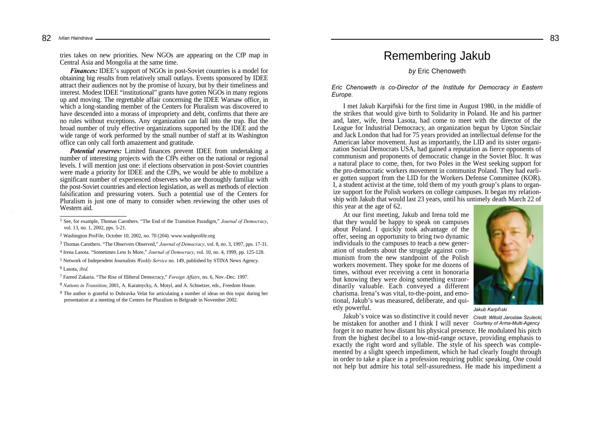82 *Ivlian Haindrava* 

> tries takes on new priorities. New NGOs are appearing on the CfP map in Central Asia and Mongolia at the same time.

> *Finances:* IDEE's support of NGOs in post-Soviet countries is a model for obtaining big results from relatively small outlays. Events sponsored by IDEE attract their audiences not by the promise of luxury, but by their timeliness and interest. Modest IDEE "institutional" grants have gotten NGOs in many regions up and moving. The regrettable affair concerning the IDEE Warsaw office, in which a long-standing member of the Centers for Pluralism was discovered to have descended into a morass of impropriety and debt, confirms that there are no rules without exceptions. Any organization can fall into the trap. But the broad number of truly effective organizations supported by the IDEE and the wide range of work performed by the small number of staff at its Washington office can only call forth amazement and gratitude.

> *Potential reserves:* Limited finances prevent IDEE from undertaking a number of interesting projects with the CfPs either on the national or regional levels. I will mention just one: if elections observation in post-Soviet countries were made a priority for IDEE and the CfPs, we would be able to mobilize a significant number of experienced observers who are thoroughly familiar with the post-Soviet countries and election legislation, as well as methods of election falsification and pressuring voters. Such a potential use of the Centers for Pluralism is just one of many to consider when reviewing the other uses of Western aid.

3 Thomas Carothers. "The Observers Observed," *Journal of Democracy*, vol. 8, no. 3, 1997, pps. 17-31.

4 Irena Lasota. "Sometimes Less Is More," *Journal of Democracy*, vol. 10, no. 4, 1999, pp. 125-128. 5 Network of Independent Journalists *Weekly Service* no. 149, published by STINA News Agency. 6 Lasota, *ibid.*

7 Fareed Zakaria. "The Rise of Illiberal Democracy," *Foreign Affairs*, no. 6, Nov.-Dec. 1997.

8 *Nations in Transition*, 2001, A. Karatnycky, A. Motyl, and A. Schnetzer, eds., Freedom House.

## Remembering Jakub

### *by* Eric Chenoweth

*Eric Chenoweth is co-Director of the Institute for Democracy in Eastern Europe.*

I met Jakub Karpiñski for the first time in August 1980, in the middle of the strikes that would give birth to Solidarity in Poland. He and his partner and, later, wife, Irena Lasota, had come to meet with the director of the League for Industrial Democracy, an organization begun by Upton Sinclair and Jack London that had for 75 years provided an intellectual defense for the American labor movement. Just as importantly, the LID and its sister organization Social Democrats USA, had gained a reputation as fierce opponents of communism and proponents of democratic change in the Soviet Bloc. It was a natural place to come, then, for two Poles in the West seeking support for the pro-democratic workers movement in communist Poland. They had earlier gotten support from the LID for the Workers Defense Committee (KOR). I, a student activist at the time, told them of my youth group's plans to organize support for the Polish workers on college campuses. It began my relationship with Jakub that would last 23 years, until his untimely death March 22 of this year at the age of 62.

At our first meeting, Jakub and Irena told me that they would be happy to speak on campuses about Poland. I quickly took advantage of the offer, seeing an opportunity to bring two dynamic individuals to the campuses to teach a new generation of students about the struggle against communism from the new standpoint of the Polish workers movement. They spoke for me dozens of times, without ever receiving a cent in honoraria but knowing they were doing something extraordinarily valuable. Each conveyed a different charisma. Irena's was vital, to-the-point, and emotional, Jakub's was measured, deliberate, and quietly powerful.



*Jakub Karpiñski*

Jakub's voice was so distinctive it could never *Credit: Witold Jaroslaw Szulecki,* be mistaken for another and I think I will never *Courtesy of Arma-Multi-Agency* forget it no matter how distant his physical presence. He modulated his pitch from the highest decibel to a low-mid-range octave, providing emphasis to exactly the right word and syllable. The style of his speech was complemented by a slight speech impediment, which he had clearly fought through in order to take a place in a profession requiring public speaking. One could not help but admire his total self-assuredness. He made his impediment a

83

<sup>1</sup> See, for example, Thomas Carothers. "The End of the Transition Paradigm," *Journal of Democracy*, vol. 13, no. 1, 2002, pps. 5-21.

<sup>2</sup> Washington ProFile, October 10, 2002, no. 70 (204). www.washprofile.org

<sup>9</sup> The author is grateful to Dubravka Velat for articulating a number of ideas on this topic during her presentation at a meeting of the Centers for Pluralism in Belgrade in November 2002.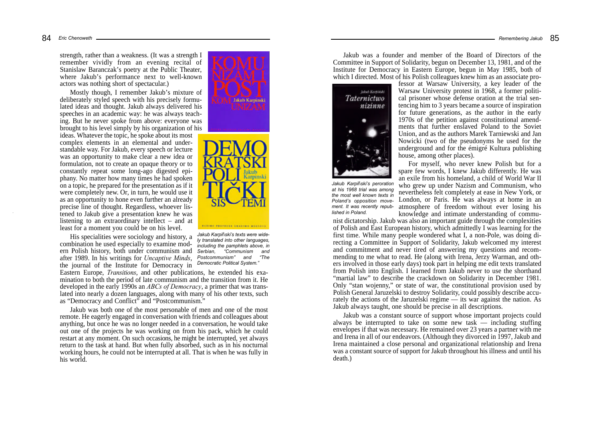strength, rather than a weakness. (It was a strength I remember vividly from an evening recital of Stanislaw Baranczak's poetry at the Public Theater, where Jakub's performance next to well-known actors was nothing short of spectacular.)

Mostly though, I remember Jakub's mixture of deliberately styled speech with his precisely formulated ideas and thought. Jakub always delivered his speeches in an academic way: he was always teaching. But he never spoke from above: everyone was brought to his level simply by his organization of his

ideas. Whatever the topic, he spoke about its most complex elements in an elemental and understandable way. For Jakub, every speech or lecture was an opportunity to make clear a new idea or formulation, not to create an opaque theory or to constantly repeat some long-ago digested epiphany. No matter how many times he had spoken on a topic, he prepared for the presentation as if it were completely new. Or, in turn, he would use it as an opportunity to hone even further an already precise line of thought. Regardless, whoever listened to Jakub give a presentation knew he was listening to an extraordinary intellect – and at least for a moment you could be on his level.

His specialities were sociology and history, a combination he used especially to examine modern Polish history, both under communism and after 1989. In his writings for *Uncaptive Minds*, the journal of the Institute for Democracy in

Eastern Europe, *Transitions*, and other publications, he extended his examination to both the period of late communism and the transition from it. He developed in the early 1990s an *ABCs of Democracy*, a primer that was translated into nearly a dozen languages, along with many of his other texts, such as "Democracy and Conflict" and "Postcommunism."

Jakub was both one of the most personable of men and one of the most remote. He eagerly engaged in conversation with friends and colleagues about anything, but once he was no longer needed in a conversation, he would take out one of the projects he was working on from his pack, which he could restart at any moment. On such occasions, he might be interrupted, yet always return to the task at hand. But when fully absorbed, such as in his nocturnal working hours, he could not be interrupted at all. That is when he was fully in his world.





*Jakub Karpiñski's texts were widely translated into other languages, including the pamphlets above, in Serbian, "Communism and Postcommunism" and "The Democratic Political System."*

Jakub was a founder and member of the Board of Directors of the Committee in Support of Solidarity, begun on December 13, 1981, and of the Institute for Democracy in Eastern Europe, begun in May 1985, both of which I directed. Most of his Polish colleagues knew him as an associate pro-



*Jakub Karpiñski's peroration at his 1968 trial was among the most well known texts in Poland's opposition movement. It was recently republished in Poland.*

fessor at Warsaw University, a key leader of the Warsaw University protest in 1968, a former political prisoner whose defense oration at the trial sentencing him to 3 years became a source of inspiration for future generations, as the author in the early 1970s of the petition against constitutional amendments that further enslaved Poland to the Soviet Union, and as the authors Marek Tarniewski and Jan Nowicki (two of the pseudonyms he used for the underground and for the émigré Kultura publishing house, among other places).

For myself, who never knew Polish but for a spare few words, I knew Jakub differently. He was an exile from his homeland, a child of World War II who grew up under Nazism and Communism, who nevertheless felt completely at ease in New York, or London, or Paris. He was always at home in an atmosphere of freedom without ever losing his knowledge and intimate understanding of commu-

nist dictatorship. Jakub was also an important guide through the complexities of Polish and East European history, which admittedly I was learning for the first time. While many people wondered what I, a non-Pole, was doing directing a Committee in Support of Solidarity, Jakub welcomed my interest and commitment and never tired of answering my questions and recommending to me what to read. He (along with Irena, Jerzy Warman, and others involved in those early days) took part in helping me edit texts translated from Polish into English. I learned from Jakub never to use the shorthand "martial law" to describe the crackdown on Solidarity in December 1981. Only "stan wojenny," or state of war, the constitutional provision used by Polish General Jaruzelski to destroy Solidarity, could possibly describe accurately the actions of the Jaruzelski regime — its war against the nation. As Jakub always taught, one should be precise in all descriptions.

Jakub was a constant source of support whose important projects could always be interrupted to take on some new task — including stuffing envelopes if that was necessary. He remained over 23 years a partner with me and Irena in all of our endeavors. (Although they divorced in 1997, Jakub and Irena maintained a close personal and organizational relationship and Irena was a constant source of support for Jakub throughout his illness and until his death.)